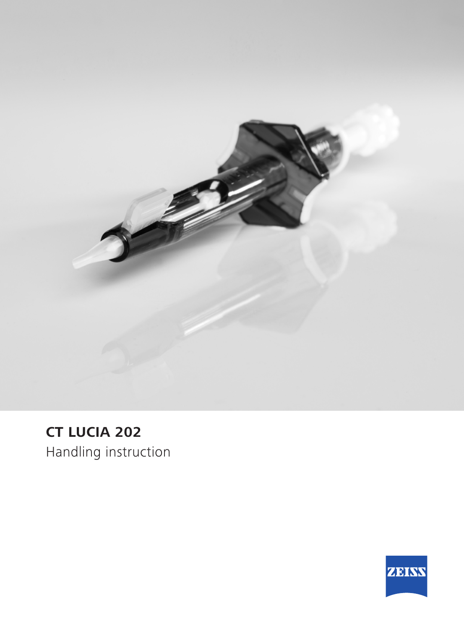

## **CT LUCIA 202**

Handling instruction